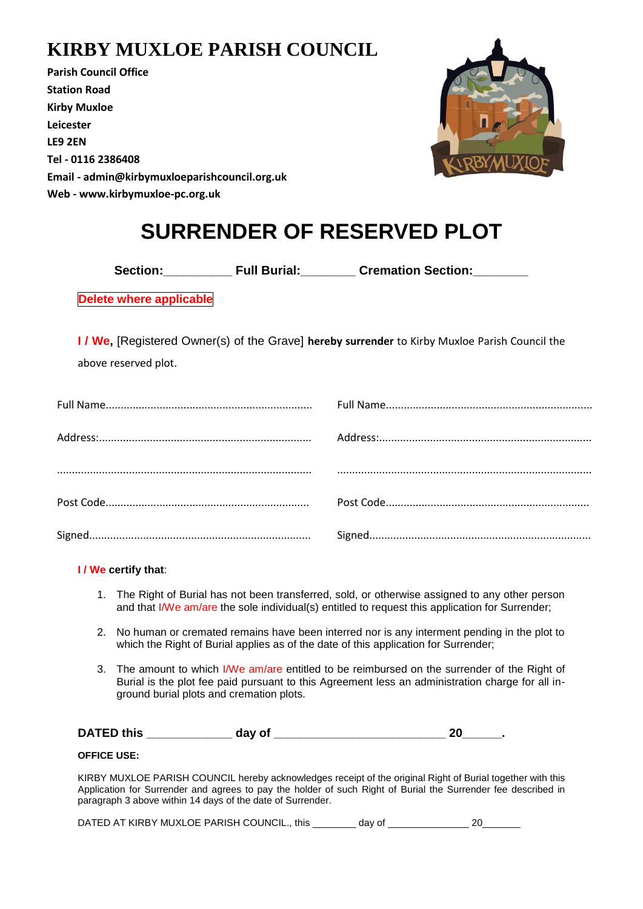### **KIRBY MUXLOE PARISH COUNCIL**

**Parish Council Office Station Road Kirby Muxloe Leicester LE9 2EN Tel - 0116 2386408 Email - admin@kirbymuxloeparishcouncil.org.uk Web - www.kirbymuxloe-pc.org.uk**



# **SURRENDER OF RESERVED PLOT**

**Section:\_\_\_\_\_\_\_\_\_\_ Full Burial:\_\_\_\_\_\_\_\_ Cremation Section:\_\_\_\_\_\_\_\_**

**Delete where applicable**

**I / We,** [Registered Owner(s) of the Grave] **hereby surrender** to Kirby Muxloe Parish Council the

above reserved plot.

#### **I / We certify that**:

- 1. The Right of Burial has not been transferred, sold, or otherwise assigned to any other person and that I/We am/are the sole individual(s) entitled to request this application for Surrender;
- 2. No human or cremated remains have been interred nor is any interment pending in the plot to which the Right of Burial applies as of the date of this application for Surrender;
- 3. The amount to which I/We am/are entitled to be reimbursed on the surrender of the Right of Burial is the plot fee paid pursuant to this Agreement less an administration charge for all inground burial plots and cremation plots.

| <b>DATED this</b> | day of<br>--- |  |
|-------------------|---------------|--|
|-------------------|---------------|--|

#### **OFFICE USE:**

KIRBY MUXLOE PARISH COUNCIL hereby acknowledges receipt of the original Right of Burial together with this Application for Surrender and agrees to pay the holder of such Right of Burial the Surrender fee described in paragraph 3 above within 14 days of the date of Surrender.

DATED AT KIRBY MUXLOE PARISH COUNCIL., this \_\_\_\_\_\_\_\_ day of \_\_\_\_\_\_\_\_\_\_\_\_\_\_\_\_\_\_\_\_ 20\_\_\_